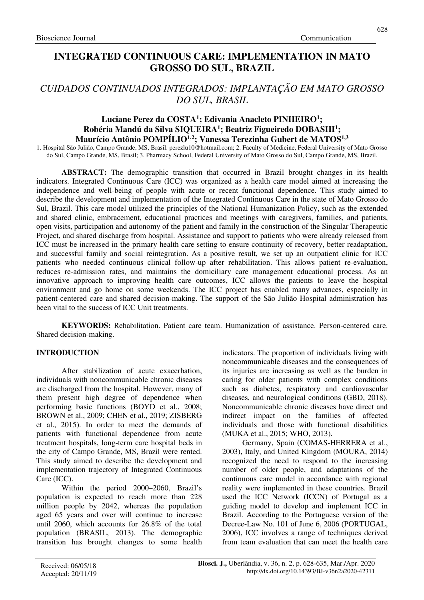# **INTEGRATED CONTINUOUS CARE: IMPLEMENTATION IN MATO GROSSO DO SUL, BRAZIL**

# *CUIDADOS CONTINUADOS INTEGRADOS: IMPLANTAÇÃO EM MATO GROSSO DO SUL, BRASIL*

### **Luciane Perez da COSTA<sup>1</sup> ; Edivania Anacleto PINHEIRO<sup>1</sup> ; Robéria Mandú da Silva SIQUEIRA<sup>1</sup> ; Beatriz Figueiredo DOBASHI<sup>1</sup> ; Maurício Antônio POMPÍLIO1,2; Vanessa Terezinha Gubert de MATOS1,3**

1. Hospital São Julião, Campo Grande, MS, Brasil. perezlu10@hotmail.com; 2. Faculty of Medicine, Federal University of Mato Grosso do Sul, Campo Grande, MS, Brasil; 3. Pharmacy School, Federal University of Mato Grosso do Sul, Campo Grande, MS, Brazil.

**ABSTRACT:** The demographic transition that occurred in Brazil brought changes in its health indicators. Integrated Continuous Care (ICC) was organized as a health care model aimed at increasing the independence and well-being of people with acute or recent functional dependence. This study aimed to describe the development and implementation of the Integrated Continuous Care in the state of Mato Grosso do Sul, Brazil. This care model utilized the principles of the National Humanization Policy, such as the extended and shared clinic, embracement, educational practices and meetings with caregivers, families, and patients, open visits, participation and autonomy of the patient and family in the construction of the Singular Therapeutic Project, and shared discharge from hospital. Assistance and support to patients who were already released from ICC must be increased in the primary health care setting to ensure continuity of recovery, better readaptation, and successful family and social reintegration. As a positive result, we set up an outpatient clinic for ICC patients who needed continuous clinical follow-up after rehabilitation. This allows patient re-evaluation, reduces re-admission rates, and maintains the domiciliary care management educational process. As an innovative approach to improving health care outcomes, ICC allows the patients to leave the hospital environment and go home on some weekends. The ICC project has enabled many advances, especially in patient-centered care and shared decision-making. The support of the São Julião Hospital administration has been vital to the success of ICC Unit treatments.

**KEYWORDS:** Rehabilitation. Patient care team. Humanization of assistance. Person-centered care. Shared decision-making.

# **INTRODUCTION**

After stabilization of acute exacerbation, individuals with noncommunicable chronic diseases are discharged from the hospital. However, many of them present high degree of dependence when performing basic functions (BOYD et al., 2008; BROWN et al., 2009; CHEN et al., 2019; ZISBERG et al., 2015). In order to meet the demands of patients with functional dependence from acute treatment hospitals, long-term care hospital beds in the city of Campo Grande, MS, Brazil were rented. This study aimed to describe the development and implementation trajectory of Integrated Continuous Care (ICC).

Within the period 2000–2060, Brazil's population is expected to reach more than 228 million people by 2042, whereas the population aged 65 years and over will continue to increase until 2060, which accounts for 26.8% of the total population (BRASIL, 2013). The demographic transition has brought changes to some health indicators. The proportion of individuals living with noncommunicable diseases and the consequences of its injuries are increasing as well as the burden in caring for older patients with complex conditions such as diabetes, respiratory and cardiovascular diseases, and neurological conditions (GBD, 2018). Noncommunicable chronic diseases have direct and indirect impact on the families of affected individuals and those with functional disabilities (MUKA et al., 2015; WHO, 2013).

Germany, Spain (COMAS-HERRERA et al., 2003), Italy, and United Kingdom (MOURA, 2014) recognized the need to respond to the increasing number of older people, and adaptations of the continuous care model in accordance with regional reality were implemented in these countries. Brazil used the ICC Network (ICCN) of Portugal as a guiding model to develop and implement ICC in Brazil. According to the Portuguese version of the Decree-Law No. 101 of June 6, 2006 (PORTUGAL, 2006), ICC involves a range of techniques derived from team evaluation that can meet the health care

628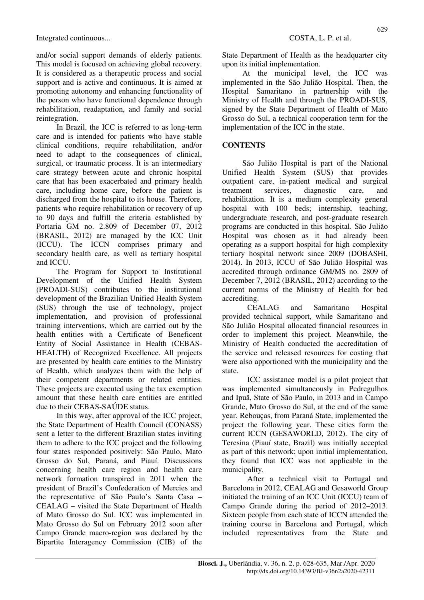and/or social support demands of elderly patients. This model is focused on achieving global recovery. It is considered as a therapeutic process and social support and is active and continuous. It is aimed at promoting autonomy and enhancing functionality of the person who have functional dependence through rehabilitation, readaptation, and family and social reintegration.

In Brazil, the ICC is referred to as long-term care and is intended for patients who have stable clinical conditions, require rehabilitation, and/or need to adapt to the consequences of clinical, surgical, or traumatic process. It is an intermediary care strategy between acute and chronic hospital care that has been exacerbated and primary health care, including home care, before the patient is discharged from the hospital to its house. Therefore, patients who require rehabilitation or recovery of up to 90 days and fulfill the criteria established by Portaria GM no. 2.809 of December 07, 2012 (BRASIL, 2012) are managed by the ICC Unit (ICCU). The ICCN comprises primary and secondary health care, as well as tertiary hospital and ICCU.

The Program for Support to Institutional Development of the Unified Health System (PROADI-SUS) contributes to the institutional development of the Brazilian Unified Health System (SUS) through the use of technology, project implementation, and provision of professional training interventions, which are carried out by the health entities with a Certificate of Beneficent Entity of Social Assistance in Health (CEBAS-HEALTH) of Recognized Excellence. All projects are presented by health care entities to the Ministry of Health, which analyzes them with the help of their competent departments or related entities. These projects are executed using the tax exemption amount that these health care entities are entitled due to their CEBAS-SAÚDE status.

In this way, after approval of the ICC project, the State Department of Health Council (CONASS) sent a letter to the different Brazilian states inviting them to adhere to the ICC project and the following four states responded positively: São Paulo, Mato Grosso do Sul, Paraná, and Piauí. Discussions concerning health care region and health care network formation transpired in 2011 when the president of Brazil's Confederation of Mercies and the representative of São Paulo's Santa Casa – CEALAG – visited the State Department of Health of Mato Grosso do Sul. ICC was implemented in Mato Grosso do Sul on February 2012 soon after Campo Grande macro-region was declared by the Bipartite Interagency Commission (CIB) of the

State Department of Health as the headquarter city upon its initial implementation.

At the municipal level, the ICC was implemented in the São Julião Hospital. Then, the Hospital Samaritano in partnership with the Ministry of Health and through the PROADI-SUS, signed by the State Department of Health of Mato Grosso do Sul, a technical cooperation term for the implementation of the ICC in the state.

## **CONTENTS**

São Julião Hospital is part of the National Unified Health System (SUS) that provides outpatient care, in-patient medical and surgical treatment services, diagnostic care, and rehabilitation. It is a medium complexity general hospital with 100 beds; internship, teaching, undergraduate research, and post-graduate research programs are conducted in this hospital. São Julião Hospital was chosen as it had already been operating as a support hospital for high complexity tertiary hospital network since 2009 (DOBASHI, 2014). In 2013, ICCU of São Julião Hospital was accredited through ordinance GM/MS no. 2809 of December 7, 2012 (BRASIL, 2012) according to the current norms of the Ministry of Health for bed accrediting.

CEALAG and Samaritano Hospital provided technical support, while Samaritano and São Julião Hospital allocated financial resources in order to implement this project. Meanwhile, the Ministry of Health conducted the accreditation of the service and released resources for costing that were also apportioned with the municipality and the state.

ICC assistance model is a pilot project that was implemented simultaneously in Pedregulhos and Ipuã, State of São Paulo, in 2013 and in Campo Grande, Mato Grosso do Sul, at the end of the same year. Rebouças, from Paraná State, implemented the project the following year. These cities form the current ICCN (GESAWORLD, 2012). The city of Teresina (Piauí state, Brazil) was initially accepted as part of this network; upon initial implementation, they found that ICC was not applicable in the municipality.

After a technical visit to Portugal and Barcelona in 2012, CEALAG and Gesaworld Group initiated the training of an ICC Unit (ICCU) team of Campo Grande during the period of 2012–2013. Sixteen people from each state of ICCN attended the training course in Barcelona and Portugal, which included representatives from the State and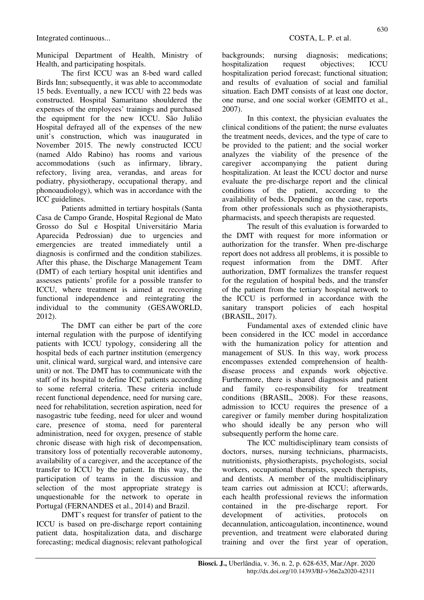Municipal Department of Health, Ministry of Health, and participating hospitals.

The first ICCU was an 8-bed ward called Birds Inn; subsequently, it was able to accommodate 15 beds. Eventually, a new ICCU with 22 beds was constructed. Hospital Samaritano shouldered the expenses of the employees' trainings and purchased the equipment for the new ICCU. São Julião Hospital defrayed all of the expenses of the new unit's construction, which was inaugurated in November 2015. The newly constructed ICCU (named Aldo Rabino) has rooms and various accommodations (such as infirmary, library, refectory, living area, verandas, and areas for podiatry, physiotherapy, occupational therapy, and phonoaudiology), which was in accordance with the ICC guidelines.

Patients admitted in tertiary hospitals (Santa Casa de Campo Grande, Hospital Regional de Mato Grosso do Sul e Hospital Universitário Maria Aparecida Pedrossian) due to urgencies and emergencies are treated immediately until a diagnosis is confirmed and the condition stabilizes. After this phase, the Discharge Management Team (DMT) of each tertiary hospital unit identifies and assesses patients' profile for a possible transfer to ICCU, where treatment is aimed at recovering functional independence and reintegrating the individual to the community (GESAWORLD, 2012).

The DMT can either be part of the core internal regulation with the purpose of identifying patients with ICCU typology, considering all the hospital beds of each partner institution (emergency unit, clinical ward, surgical ward, and intensive care unit) or not. The DMT has to communicate with the staff of its hospital to define ICC patients according to some referral criteria. These criteria include recent functional dependence, need for nursing care, need for rehabilitation, secretion aspiration, need for nasogastric tube feeding, need for ulcer and wound care, presence of stoma, need for parenteral administration, need for oxygen, presence of stable chronic disease with high risk of decompensation, transitory loss of potentially recoverable autonomy, availability of a caregiver, and the acceptance of the transfer to ICCU by the patient. In this way, the participation of teams in the discussion and selection of the most appropriate strategy is unquestionable for the network to operate in Portugal (FERNANDES et al., 2014) and Brazil.

DMT's request for transfer of patient to the ICCU is based on pre-discharge report containing patient data, hospitalization data, and discharge forecasting; medical diagnosis; relevant pathological backgrounds; nursing diagnosis; medications; hospitalization request objectives; ICCU hospitalization period forecast; functional situation; and results of evaluation of social and familial situation. Each DMT consists of at least one doctor, one nurse, and one social worker (GEMITO et al., 2007).

In this context, the physician evaluates the clinical conditions of the patient; the nurse evaluates the treatment needs, devices, and the type of care to be provided to the patient; and the social worker analyzes the viability of the presence of the caregiver accompanying the patient during hospitalization. At least the ICCU doctor and nurse evaluate the pre-discharge report and the clinical conditions of the patient, according to the availability of beds. Depending on the case, reports from other professionals such as physiotherapists, pharmacists, and speech therapists are requested.

The result of this evaluation is forwarded to the DMT with request for more information or authorization for the transfer. When pre-discharge report does not address all problems, it is possible to request information from the DMT. After authorization, DMT formalizes the transfer request for the regulation of hospital beds, and the transfer of the patient from the tertiary hospital network to the ICCU is performed in accordance with the sanitary transport policies of each hospital (BRASIL, 2017).

Fundamental axes of extended clinic have been considered in the ICC model in accordance with the humanization policy for attention and management of SUS. In this way, work process encompasses extended comprehension of healthdisease process and expands work objective. Furthermore, there is shared diagnosis and patient and family co-responsibility for treatment conditions (BRASIL, 2008). For these reasons, admission to ICCU requires the presence of a caregiver or family member during hospitalization who should ideally be any person who will subsequently perform the home care.

The ICC multidisciplinary team consists of doctors, nurses, nursing technicians, pharmacists, nutritionists, physiotherapists, psychologists, social workers, occupational therapists, speech therapists, and dentists. A member of the multidisciplinary team carries out admission at ICCU; afterwards, each health professional reviews the information contained in the pre-discharge report. For development of activities, protocols on decannulation, anticoagulation, incontinence, wound prevention, and treatment were elaborated during training and over the first year of operation,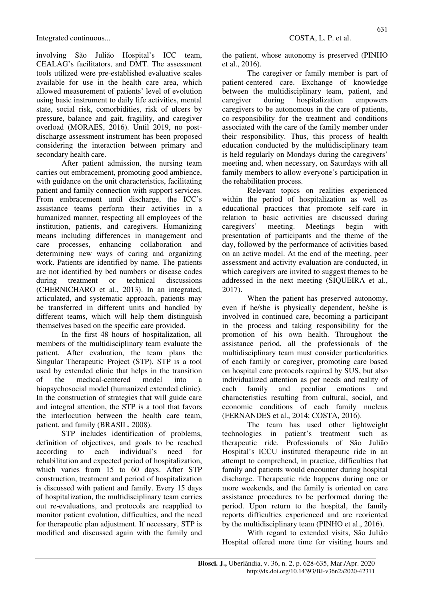Integrated continuous... COSTA, L. P. et al.

involving São Julião Hospital's ICC team, CEALAG's facilitators, and DMT. The assessment tools utilized were pre-established evaluative scales available for use in the health care area, which allowed measurement of patients' level of evolution using basic instrument to daily life activities, mental state, social risk, comorbidities, risk of ulcers by pressure, balance and gait, fragility, and caregiver overload (MORAES, 2016). Until 2019, no postdischarge assessment instrument has been proposed considering the interaction between primary and secondary health care.

After patient admission, the nursing team carries out embracement, promoting good ambience, with guidance on the unit characteristics, facilitating patient and family connection with support services. From embracement until discharge, the ICC's assistance teams perform their activities in a humanized manner, respecting all employees of the institution, patients, and caregivers. Humanizing means including differences in management and care processes, enhancing collaboration and determining new ways of caring and organizing work. Patients are identified by name. The patients are not identified by bed numbers or disease codes during treatment or technical discussions (CHERNICHARO et al., 2013). In an integrated, articulated, and systematic approach, patients may be transferred in different units and handled by different teams, which will help them distinguish themselves based on the specific care provided.

In the first 48 hours of hospitalization, all members of the multidisciplinary team evaluate the patient. After evaluation, the team plans the Singular Therapeutic Project (STP). STP is a tool used by extended clinic that helps in the transition of the medical-centered model into a biopsychosocial model (humanized extended clinic). In the construction of strategies that will guide care and integral attention, the STP is a tool that favors the interlocution between the health care team, patient, and family (BRASIL, 2008).

STP includes identification of problems, definition of objectives, and goals to be reached according to each individual's need for rehabilitation and expected period of hospitalization, which varies from 15 to 60 days. After STP construction, treatment and period of hospitalization is discussed with patient and family. Every 15 days of hospitalization, the multidisciplinary team carries out re-evaluations, and protocols are reapplied to monitor patient evolution, difficulties, and the need for therapeutic plan adjustment. If necessary, STP is modified and discussed again with the family and the patient, whose autonomy is preserved (PINHO et al., 2016).

The caregiver or family member is part of patient-centered care. Exchange of knowledge between the multidisciplinary team, patient, and caregiver during hospitalization empowers caregivers to be autonomous in the care of patients, co-responsibility for the treatment and conditions associated with the care of the family member under their responsibility. Thus, this process of health education conducted by the multidisciplinary team is held regularly on Mondays during the caregivers' meeting and, when necessary, on Saturdays with all family members to allow everyone's participation in the rehabilitation process.

Relevant topics on realities experienced within the period of hospitalization as well as educational practices that promote self-care in relation to basic activities are discussed during caregivers' meeting. Meetings begin with presentation of participants and the theme of the day, followed by the performance of activities based on an active model. At the end of the meeting, peer assessment and activity evaluation are conducted, in which caregivers are invited to suggest themes to be addressed in the next meeting (SIQUEIRA et al., 2017).

When the patient has preserved autonomy, even if he/she is physically dependent, he/she is involved in continued care, becoming a participant in the process and taking responsibility for the promotion of his own health. Throughout the assistance period, all the professionals of the multidisciplinary team must consider particularities of each family or caregiver, promoting care based on hospital care protocols required by SUS, but also individualized attention as per needs and reality of each family and peculiar emotions and characteristics resulting from cultural, social, and economic conditions of each family nucleus (FERNANDES et al., 2014; COSTA, 2016).

The team has used other lightweight technologies in patient's treatment such as therapeutic ride. Professionals of São Julião Hospital's ICCU instituted therapeutic ride in an attempt to comprehend, in practice, difficulties that family and patients would encounter during hospital discharge. Therapeutic ride happens during one or more weekends, and the family is oriented on care assistance procedures to be performed during the period. Upon return to the hospital, the family reports difficulties experienced and are reoriented by the multidisciplinary team (PINHO et al., 2016).

With regard to extended visits, São Julião Hospital offered more time for visiting hours and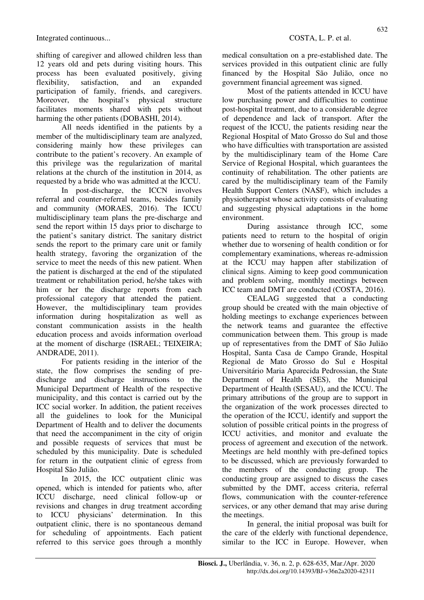shifting of caregiver and allowed children less than 12 years old and pets during visiting hours. This process has been evaluated positively, giving flexibility, satisfaction, and an expanded participation of family, friends, and caregivers. Moreover, the hospital's physical structure facilitates moments shared with pets without harming the other patients (DOBASHI, 2014).

All needs identified in the patients by a member of the multidisciplinary team are analyzed, considering mainly how these privileges can contribute to the patient's recovery. An example of this privilege was the regularization of marital relations at the church of the institution in 2014, as requested by a bride who was admitted at the ICCU.

In post-discharge, the ICCN involves referral and counter-referral teams, besides family and community (MORAES, 2016). The ICCU multidisciplinary team plans the pre-discharge and send the report within 15 days prior to discharge to the patient's sanitary district. The sanitary district sends the report to the primary care unit or family health strategy, favoring the organization of the service to meet the needs of this new patient. When the patient is discharged at the end of the stipulated treatment or rehabilitation period, he/she takes with him or her the discharge reports from each professional category that attended the patient. However, the multidisciplinary team provides information during hospitalization as well as constant communication assists in the health education process and avoids information overload at the moment of discharge (ISRAEL; TEIXEIRA; ANDRADE, 2011).

For patients residing in the interior of the state, the flow comprises the sending of predischarge and discharge instructions to the Municipal Department of Health of the respective municipality, and this contact is carried out by the ICC social worker. In addition, the patient receives all the guidelines to look for the Municipal Department of Health and to deliver the documents that need the accompaniment in the city of origin and possible requests of services that must be scheduled by this municipality. Date is scheduled for return in the outpatient clinic of egress from Hospital São Julião.

In 2015, the ICC outpatient clinic was opened, which is intended for patients who, after ICCU discharge, need clinical follow-up or revisions and changes in drug treatment according to ICCU physicians' determination. In this outpatient clinic, there is no spontaneous demand for scheduling of appointments. Each patient referred to this service goes through a monthly

medical consultation on a pre-established date. The services provided in this outpatient clinic are fully financed by the Hospital São Julião, once no government financial agreement was signed.

Most of the patients attended in ICCU have low purchasing power and difficulties to continue post-hospital treatment, due to a considerable degree of dependence and lack of transport. After the request of the ICCU, the patients residing near the Regional Hospital of Mato Grosso do Sul and those who have difficulties with transportation are assisted by the multidisciplinary team of the Home Care Service of Regional Hospital, which guarantees the continuity of rehabilitation. The other patients are cared by the multidisciplinary team of the Family Health Support Centers (NASF), which includes a physiotherapist whose activity consists of evaluating and suggesting physical adaptations in the home environment.

During assistance through ICC, some patients need to return to the hospital of origin whether due to worsening of health condition or for complementary examinations, whereas re-admission at the ICCU may happen after stabilization of clinical signs. Aiming to keep good communication and problem solving, monthly meetings between ICC team and DMT are conducted (COSTA, 2016).

CEALAG suggested that a conducting group should be created with the main objective of holding meetings to exchange experiences between the network teams and guarantee the effective communication between them. This group is made up of representatives from the DMT of São Julião Hospital, Santa Casa de Campo Grande, Hospital Regional de Mato Grosso do Sul e Hospital Universitário Maria Aparecida Pedrossian, the State Department of Health (SES), the Municipal Department of Health (SESAU), and the ICCU. The primary attributions of the group are to support in the organization of the work processes directed to the operation of the ICCU, identify and support the solution of possible critical points in the progress of ICCU activities, and monitor and evaluate the process of agreement and execution of the network. Meetings are held monthly with pre-defined topics to be discussed, which are previously forwarded to the members of the conducting group. The conducting group are assigned to discuss the cases submitted by the DMT, access criteria, referral flows, communication with the counter-reference services, or any other demand that may arise during the meetings.

In general, the initial proposal was built for the care of the elderly with functional dependence, similar to the ICC in Europe. However, when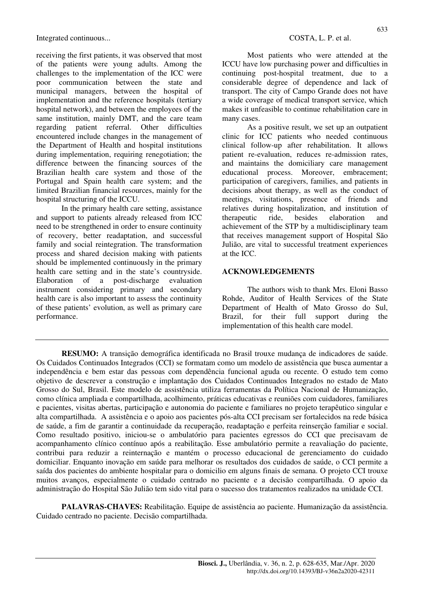Integrated continuous... COSTA, L. P. et al.

receiving the first patients, it was observed that most of the patients were young adults. Among the challenges to the implementation of the ICC were poor communication between the state and municipal managers, between the hospital of implementation and the reference hospitals (tertiary hospital network), and between the employees of the same institution, mainly DMT, and the care team regarding patient referral. Other difficulties encountered include changes in the management of the Department of Health and hospital institutions during implementation, requiring renegotiation; the difference between the financing sources of the Brazilian health care system and those of the Portugal and Spain health care system; and the limited Brazilian financial resources, mainly for the hospital structuring of the ICCU.

In the primary health care setting, assistance and support to patients already released from ICC need to be strengthened in order to ensure continuity of recovery, better readaptation, and successful family and social reintegration. The transformation process and shared decision making with patients should be implemented continuously in the primary health care setting and in the state's countryside. Elaboration of a post-discharge evaluation instrument considering primary and secondary health care is also important to assess the continuity of these patients' evolution, as well as primary care performance.

Most patients who were attended at the ICCU have low purchasing power and difficulties in continuing post-hospital treatment, due to a considerable degree of dependence and lack of transport. The city of Campo Grande does not have a wide coverage of medical transport service, which makes it unfeasible to continue rehabilitation care in many cases.

As a positive result, we set up an outpatient clinic for ICC patients who needed continuous clinical follow-up after rehabilitation. It allows patient re-evaluation, reduces re-admission rates, and maintains the domiciliary care management educational process. Moreover, embracement; participation of caregivers, families, and patients in decisions about therapy, as well as the conduct of meetings, visitations, presence of friends and relatives during hospitalization, and institution of therapeutic ride, besides elaboration and achievement of the STP by a multidisciplinary team that receives management support of Hospital São Julião, are vital to successful treatment experiences at the ICC.

## **ACKNOWLEDGEMENTS**

The authors wish to thank Mrs. Eloni Basso Rohde, Auditor of Health Services of the State Department of Health of Mato Grosso do Sul, Brazil, for their full support during the implementation of this health care model.

**RESUMO:** A transição demográfica identificada no Brasil trouxe mudança de indicadores de saúde. Os Cuidados Continuados Integrados (CCI) se formatam como um modelo de assistência que busca aumentar a independência e bem estar das pessoas com dependência funcional aguda ou recente. O estudo tem como objetivo de descrever a construção e implantação dos Cuidados Continuados Integrados no estado de Mato Grosso do Sul, Brasil. Este modelo de assistência utiliza ferramentas da Política Nacional de Humanização, como clínica ampliada e compartilhada, acolhimento, práticas educativas e reuniões com cuidadores, familiares e pacientes, visitas abertas, participação e autonomia do paciente e familiares no projeto terapêutico singular e alta compartilhada. A assistência e o apoio aos pacientes pós-alta CCI precisam ser fortalecidos na rede básica de saúde, a fim de garantir a continuidade da recuperação, readaptação e perfeita reinserção familiar e social. Como resultado positivo, iniciou-se o ambulatório para pacientes egressos do CCI que precisavam de acompanhamento clínico contínuo após a reabilitação. Esse ambulatório permite a reavaliação do paciente, contribui para reduzir a reinternação e mantém o processo educacional de gerenciamento do cuidado domiciliar. Enquanto inovação em saúde para melhorar os resultados dos cuidados de saúde, o CCI permite a saída dos pacientes do ambiente hospitalar para o domicilio em alguns finais de semana. O projeto CCI trouxe muitos avanços, especialmente o cuidado centrado no paciente e a decisão compartilhada. O apoio da administração do Hospital São Julião tem sido vital para o sucesso dos tratamentos realizados na unidade CCI.

**PALAVRAS-CHAVES:** Reabilitação. Equipe de assistência ao paciente. Humanização da assistência. Cuidado centrado no paciente. Decisão compartilhada.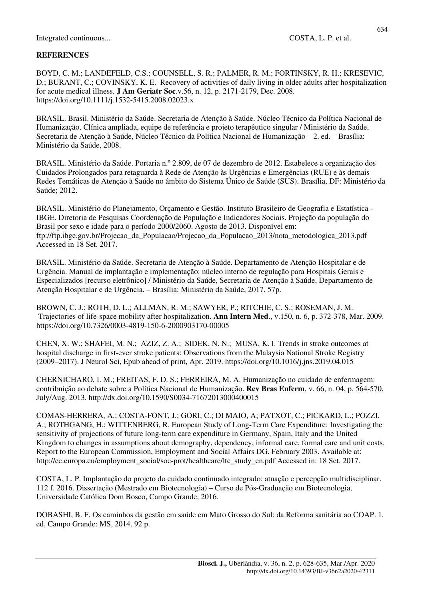#### **REFERENCES**

BOYD, C. M.; LANDEFELD, C.S.; COUNSELL, S. R.; PALMER, R. M.; FORTINSKY, R. H.; KRESEVIC, D.; BURANT, C.; COVINSKY, K. E. Recovery of activities of daily living in older adults after hospitalization for acute medical illness. **J Am Geriatr Soc**.v.56, n. 12, p. 2171-2179, Dec. 2008. https://doi.org/10.1111/j.1532-5415.2008.02023.x

BRASIL. Brasil. Ministério da Saúde. Secretaria de Atenção à Saúde. Núcleo Técnico da Política Nacional de Humanização. Clínica ampliada, equipe de referência e projeto terapêutico singular / Ministério da Saúde, Secretaria de Atenção à Saúde, Núcleo Técnico da Política Nacional de Humanização – 2. ed. – Brasília: Ministério da Saúde, 2008.

BRASIL. Ministério da Saúde. Portaria n.º 2.809, de 07 de dezembro de 2012. Estabelece a organização dos Cuidados Prolongados para retaguarda à Rede de Atenção às Urgências e Emergências (RUE) e às demais Redes Temáticas de Atenção à Saúde no âmbito do Sistema Único de Saúde (SUS). Brasília, DF: Ministério da Saúde; 2012.

BRASIL. Ministério do Planejamento, Orçamento e Gestão. Instituto Brasileiro de Geografia e Estatística ‐ IBGE. Diretoria de Pesquisas Coordenação de População e Indicadores Sociais. Projeção da população do Brasil por sexo e idade para o período 2000/2060. Agosto de 2013. Disponível em: ftp://ftp.ibge.gov.br/Projecao\_da\_Populacao/Projecao\_da\_Populacao\_2013/nota\_metodologica\_2013.pdf Accessed in 18 Set. 2017.

BRASIL. Ministério da Saúde. Secretaria de Atenção à Saúde. Departamento de Atenção Hospitalar e de Urgência. Manual de implantação e implementação: núcleo interno de regulação para Hospitais Gerais e Especializados [recurso eletrônico] / Ministério da Saúde, Secretaria de Atenção à Saúde, Departamento de Atenção Hospitalar e de Urgência. – Brasília: Ministério da Saúde, 2017. 57p.

BROWN, C. J.; ROTH, D. L.; ALLMAN, R. M.; SAWYER, P.; RITCHIE, C. S.; ROSEMAN, J. M. Trajectories of life-space mobility after hospitalization. **Ann Intern Med**., v.150, n. 6, p. 372-378, Mar. 2009. https://doi.org/10.7326/0003-4819-150-6-2000903170-00005

CHEN, X. W.; SHAFEI, M. N.; AZIZ, Z. A.; SIDEK, N. N.; MUSA, K. I. Trends in stroke outcomes at hospital discharge in first-ever stroke patients: Observations from the Malaysia National Stroke Registry (2009–2017). J Neurol Sci, Epub ahead of print, Apr. 2019. https://doi.org/10.1016/j.jns.2019.04.015

CHERNICHARO, I. M.; FREITAS, F. D. S.; FERREIRA, M. A. Humanização no cuidado de enfermagem: contribuição ao debate sobre a Política Nacional de Humanização. **Rev Bras Enferm**, v. 66, n. 04, p. 564-570, July/Aug. 2013. http://dx.doi.org/10.1590/S0034-71672013000400015

COMAS-HERRERA, A.; COSTA-FONT, J.; GORI, C.; DI MAIO, A; PATXOT, C.; PICKARD, L.; POZZI, A.; ROTHGANG, H.; WITTENBERG, R. European Study of Long-Term Care Expenditure: Investigating the sensitivity of projections of future long-term care expenditure in Germany, Spain, Italy and the United Kingdom to changes in assumptions about demography, dependency, informal care, formal care and unit costs. Report to the European Commission, Employment and Social Affairs DG. February 2003. Available at: http://ec.europa.eu/employment\_social/soc-prot/healthcare/ltc\_study\_en.pdf Accessed in: 18 Set. 2017.

COSTA, L. P. Implantação do projeto do cuidado continuado integrado: atuação e percepção multidisciplinar. 112 f. 2016. Dissertação (Mestrado em Biotecnologia) – Curso de Pós-Graduação em Biotecnologia, Universidade Católica Dom Bosco, Campo Grande, 2016.

DOBASHI, B. F. Os caminhos da gestão em saúde em Mato Grosso do Sul: da Reforma sanitária ao COAP. 1. ed, Campo Grande: MS, 2014. 92 p.